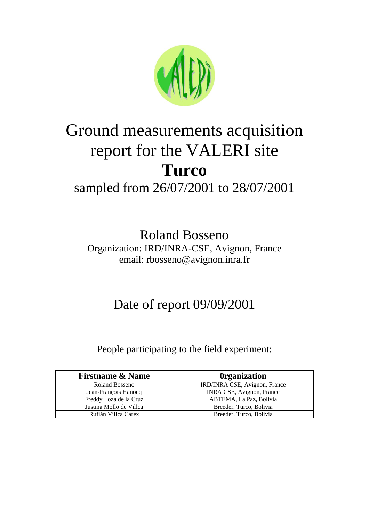

# Ground measurements acquisition report for the VALERI site **Turco**

### sampled from 26/07/2001 to 28/07/2001

Roland Bosseno Organization: IRD/INRA-CSE, Avignon, France email: rbosseno@avignon.inra.fr

## Date of report 09/09/2001

#### People participating to the field experiment:

| <b>Firstname &amp; Name</b> | <b>Organization</b>              |
|-----------------------------|----------------------------------|
| Roland Bosseno              | IRD/INRA CSE, Avignon, France    |
| Jean-François Hanocq        | <b>INRA CSE, Avignon, France</b> |
| Freddy Loza de la Cruz      | ABTEMA, La Paz, Bolivia          |
| Justina Mollo de Villca     | Breeder, Turco, Bolivia          |
| Rufián Villca Carex         | Breeder, Turco, Bolivia          |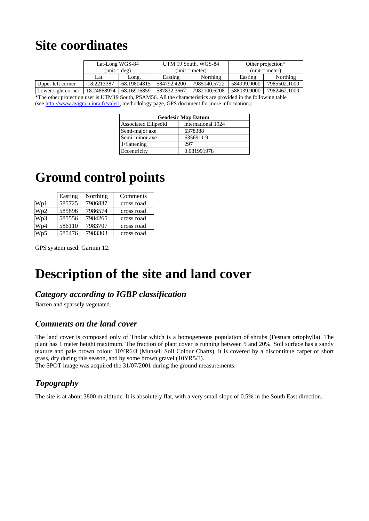## **Site coordinates**

|                    | Lat-Long WGS-84               |              |             | UTM 19 South, WGS-84   | Other projection* |              |  |
|--------------------|-------------------------------|--------------|-------------|------------------------|-------------------|--------------|--|
|                    | $(unit = deg)$                |              |             | ${\rm (unit = meter)}$ | $(unit = meter)$  |              |  |
|                    | Lat.                          | Long.        | Easting     | Northing               | Easting           | Northing     |  |
| Upper left corner  | -18.2213387                   | -68.19804815 | 584792.4200 | 7985140.5722           | 584999.9000       | 7985502.1000 |  |
| Lower right corner | $-18.24868974$ $-68.16916859$ |              | 587832.3667 | 7982100.6208           | 588039.9000       | 7982462.1000 |  |

\*The other projection user is UTM19 South, PSAM56. All the characteristics are provided in the following table (see http://www.avignon.inra.fr/valeri, methodology page, GPS document for more information):

| <b>Geodesic Map Datum</b> |                    |  |  |
|---------------------------|--------------------|--|--|
| Associated Ellipsoïd      | international 1924 |  |  |
| Semi-major axe            | 6378388            |  |  |
| Semi-minor axe            | 6356911.9          |  |  |
| 1/flattening              | 297                |  |  |
| Eccentricity              | 0.081991978        |  |  |

### **Ground control points**

|                  | Easting | Northing | Comments   |
|------------------|---------|----------|------------|
| Wp1              | 585725  | 7986837  | cross road |
| Wp2              | 585896  | 7986574  | cross road |
| W <sub>p</sub> 3 | 585556  | 7984265  | cross road |
| Wp4              | 586110  | 7983707  | cross road |
| Wp5              | 585476  | 7983303  | cross road |

GPS system used: Garmin 12.

### **Description of the site and land cover**

#### *Category according to IGBP classification*

Barren and sparsely vegetated.

#### *Comments on the land cover*

The land cover is composed only of Tholar which is a homogeneous population of shrubs (Festuca ortophylla). The plant has 1 meter height maximum. The fraction of plant cover is running between 5 and 20%. Soil surface has a sandy texture and pale brown colour 10YR6/3 (Munsell Soil Colour Charts), it is covered by a discontinue carpet of short grass, dry during this season, and by some brown gravel (10YR5/3).

The SPOT image was acquired the 31/07/2001 during the ground measurements.

#### *Topography*

The site is at about 3800 m altitude. It is absolutely flat, with a very small slope of 0.5% in the South East direction.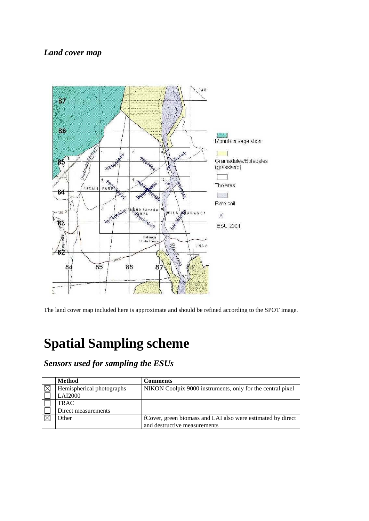#### *Land cover map*



The land cover map included here is approximate and should be refined according to the SPOT image.

# **Spatial Sampling scheme**

*Sensors used for sampling the ESUs* 

|               | <b>Method</b>             | <b>Comments</b>                                             |
|---------------|---------------------------|-------------------------------------------------------------|
| , $\boxtimes$ | Hemispherical photographs | NIKON Coolpix 9000 instruments, only for the central pixel  |
|               | <b>LAI2000</b>            |                                                             |
|               | <b>TRAC</b>               |                                                             |
|               | Direct measurements       |                                                             |
|               | Other                     | fCover, green biomass and LAI also were estimated by direct |
|               |                           | and destructive measurements                                |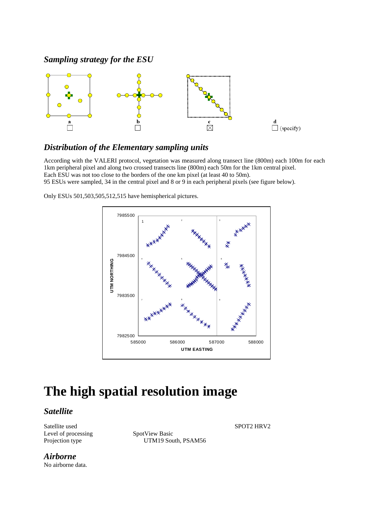#### *Sampling strategy for the ESU*



#### *Distribution of the Elementary sampling units*

According with the VALERI protocol, vegetation was measured along transect line (800m) each 100m for each 1km peripheral pixel and along two crossed transects line (800m) each 50m for the 1km central pixel. Each ESU was not too close to the borders of the one km pixel (at least 40 to 50m). 95 ESUs were sampled, 34 in the central pixel and 8 or 9 in each peripheral pixels (see figure below).

Only ESUs 501,503,505,512,515 have hemispherical pictures.



### **The high spatial resolution image**

#### *Satellite*

Satellite used SPOT2 HRV2 Level of processing SpotView Basic

Projection type UTM19 South, PSAM56

*Airborne*  No airborne data.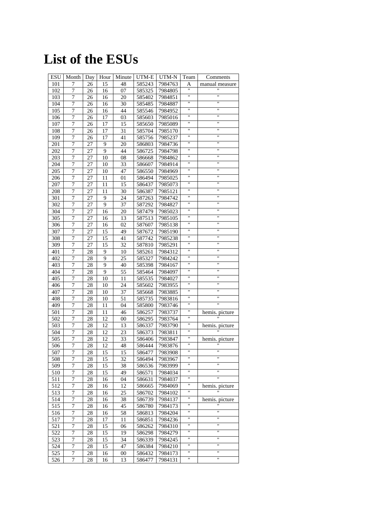# **List of the ESUs**

| <b>ESU</b> | Month            | Day | Hour | Minute          | UTM-E  | UTM-N   | Team               | Comments             |
|------------|------------------|-----|------|-----------------|--------|---------|--------------------|----------------------|
| 101        | 7                | 26  | 15   | 48              | 585243 | 7984763 | Α                  | manual measure       |
| 102        | $\boldsymbol{7}$ | 26  | 16   | 07              | 585325 | 7984805 | Ħ                  |                      |
| 103        | $\overline{7}$   | 26  | 16   | 20              | 585402 | 7984851 | $\pmb{\mathsf{H}}$ | Ħ                    |
| 104        | 7                | 26  | 16   | 30              | 585485 | 7984887 | "                  | Ħ                    |
| 105        | $\overline{7}$   | 26  | 16   | 44              | 585546 | 7984952 | π                  | Ħ                    |
| 106        | $\sqrt{ }$       | 26  | 17   | 03              | 585603 | 7985016 | $\pmb{\mathsf{H}}$ | $\pmb{\mathsf{H}}$   |
| 107        | $\overline{7}$   | 26  | 17   | $\overline{15}$ | 585650 | 7985089 | W                  | $\blacksquare$       |
| 108        | 7                | 26  | 17   | 31              | 585704 | 7985170 | Ħ                  | 11                   |
| 109        | 7                | 26  | 17   | 41              | 585756 | 7985237 | 11                 | Ħ                    |
| 201        | 7                | 27  | 9    | 20              | 586803 | 7984736 | 11                 | Ħ                    |
| 202        | 7                | 27  | 9    | 44              | 586725 | 7984798 | π                  | 11                   |
| 203        | $\boldsymbol{7}$ | 27  | 10   | 08              | 586668 | 7984862 | 11                 | Ħ                    |
| 204        | 7                | 27  | 10   | $\overline{33}$ | 586607 | 7984914 | π                  | 11                   |
| 205        | 7                | 27  | 10   | 47              | 586550 | 7984969 | Ħ                  | Ħ                    |
| 206        | $\sqrt{ }$       | 27  | 11   | 01              | 586494 | 7985025 | π                  | Ħ                    |
| 207        | 7                | 27  | 11   | 15              | 586437 | 7985073 | Ħ                  | Ħ                    |
| 208        | $\sqrt{ }$       | 27  | 11   | 30              | 586387 | 7985121 | 11                 | Ħ                    |
| 301        | $\overline{7}$   | 27  | 9    | 24              | 587263 | 7984742 | 11                 | 11                   |
| 302        | 7                | 27  | 9    | 37              | 587292 | 7984827 | 11                 | Ħ                    |
|            | $\sqrt{ }$       |     |      |                 | 587479 | 7985023 | 11                 | $^{\prime}$          |
| 304        |                  | 27  | 16   | 20              |        |         | 11                 | Ħ                    |
| 305        | 7                | 27  | 16   | 13              | 587513 | 7985105 | Ħ                  | 11                   |
| 306        | $\overline{7}$   | 27  | 16   | 02              | 587607 | 7985138 | Ħ                  | $\pmb{\mathsf{H}}$   |
| 307        | $\boldsymbol{7}$ | 27  | 15   | 49              | 587672 | 7985190 | π                  | Ħ                    |
| 308        | 7                | 27  | 15   | 41              | 587742 | 7985238 |                    |                      |
| 309        | 7                | 27  | 15   | 32              | 587810 | 7985291 | "<br>π             | Ħ<br>11              |
| 401        | 7                | 28  | 9    | 10              | 585261 | 7984312 |                    |                      |
| 402        | $\sqrt{ }$       | 28  | 9    | 25              | 585327 | 7984242 | π                  | Ħ                    |
| 403        | $\overline{7}$   | 28  | 9    | 40              | 585398 | 7984167 | W                  | $\blacksquare$       |
| 404        | 7                | 28  | 9    | 55              | 585464 | 7984097 | Ħ                  | 11                   |
| 405        | 7                | 28  | 10   | 11              | 585535 | 7984027 | 11                 | Ħ                    |
| 406        | 7                | 28  | 10   | 24              | 585602 | 7983955 | 11                 | Ħ                    |
| 407        | 7                | 28  | 10   | 37              | 585668 | 7983885 | π                  | $\blacksquare$       |
| 408        | $\overline{7}$   | 28  | 10   | 51              | 585735 | 7983816 | W                  | $\blacksquare$       |
| 409        | $\sqrt{ }$       | 28  | 11   | 04              | 585800 | 7983746 | Ħ                  | Ħ                    |
| 501        | $\sqrt{ }$       | 28  | 11   | 46              | 586257 | 7983737 | Ħ                  | hemis. picture       |
| 502        | 7                | 28  | 12   | 00              | 586295 | 7983764 | 11                 |                      |
| 503        | $\overline{7}$   | 28  | 12   | 13              | 586337 | 7983790 | Ħ                  | hemis. picture       |
| 504        | 7                | 28  | 12   | 23              | 586373 | 7983811 | 11                 | $\pmb{\mathfrak{m}}$ |
| 505        | $\overline{7}$   | 28  | 12   | 33              | 586406 | 7983847 | Ħ                  | hemis. picture       |
| 506        | 7                | 28  | 12   | 48              | 586444 | 7983876 | $\pmb{\mathsf{H}}$ | 11                   |
| 507        | 7                | 28  | 15   | 15              | 586477 | 7983908 |                    |                      |
| 508        | 7                | 28  | 15   | 32              | 586494 | 7983967 | 11                 | 11                   |
| 509        | 7                | 28  | 15   | 38              | 586536 | 7983999 | 11                 | 11                   |
| 510        | 7                | 28  | 15   | 49              | 586571 | 7984034 | Ħ                  | н                    |
| 511        | $\sqrt{ }$       | 28  | 16   | 04              | 586631 | 7984037 | $\pmb{\mathsf{H}}$ | .,                   |
| 512        | 7                | 28  | 16   | 12              | 586665 | 7984069 | Ħ                  | hemis. picture       |
| 513        | $\sqrt{ }$       | 28  | 16   | 25              | 586702 | 7984102 | 11                 |                      |
| 514        | 7                | 28  | 16   | 38              | 586739 | 7984137 | Ħ                  | hemis. picture       |
| 515        | $\overline{7}$   | 28  | 16   | 45              | 586780 | 7984173 | π                  | Ħ                    |
| 516        | 7                | 28  | 16   | 58              | 586813 | 7984204 | Ħ                  | Ħ                    |
| 517        | 7                | 28  | 17   | 11              | 586851 | 7984236 | Η                  | Ħ                    |
| 521        | $\sqrt{ }$       | 28  | 15   | 06              | 586262 | 7984310 | 11                 | 11                   |
| 522        | 7                |     |      |                 |        |         | 11                 | $\pmb{\mathfrak{m}}$ |
|            | $\overline{7}$   | 28  | 15   | 19              | 586298 | 7984279 | Ħ                  | Ħ                    |
| 523        |                  | 28  | 15   | 34              | 586339 | 7984245 | Ħ                  | н                    |
| 524        | 7                | 28  | 15   | 47              | 586384 | 7984210 | Ħ                  | н                    |
| 525        | 7                | 28  | 16   | 00              | 586432 | 7984173 | 11                 | н                    |
| 526        | 7                | 28  | 16   | 13              | 586477 | 7984131 |                    |                      |